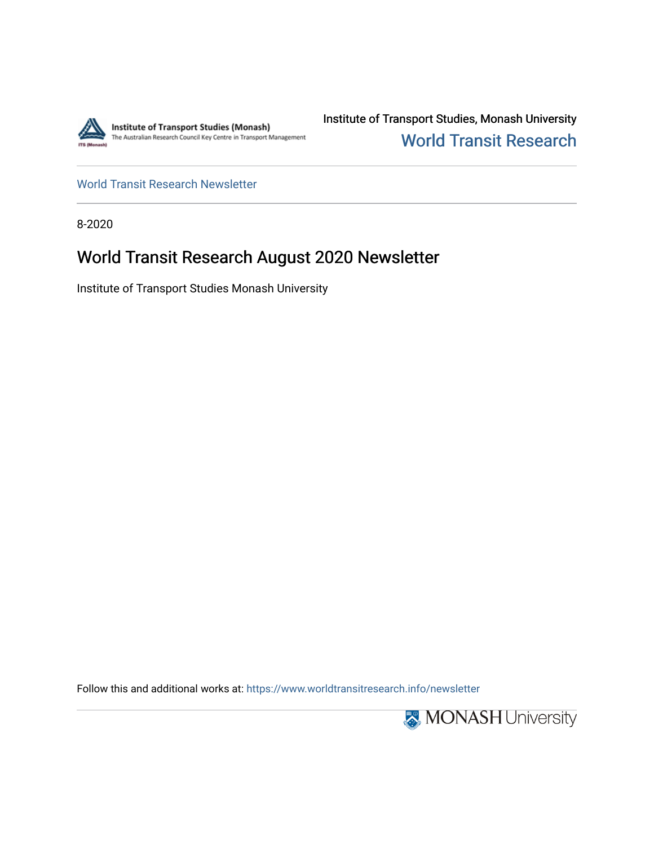

Institute of Transport Studies, Monash University [World Transit Research](https://www.worldtransitresearch.info/) 

[World Transit Research Newsletter](https://www.worldtransitresearch.info/newsletter) 

8-2020

# World Transit Research August 2020 Newsletter

Institute of Transport Studies Monash University

Follow this and additional works at: [https://www.worldtransitresearch.info/newsletter](https://www.worldtransitresearch.info/newsletter?utm_source=www.worldtransitresearch.info%2Fnewsletter%2F61&utm_medium=PDF&utm_campaign=PDFCoverPages) 

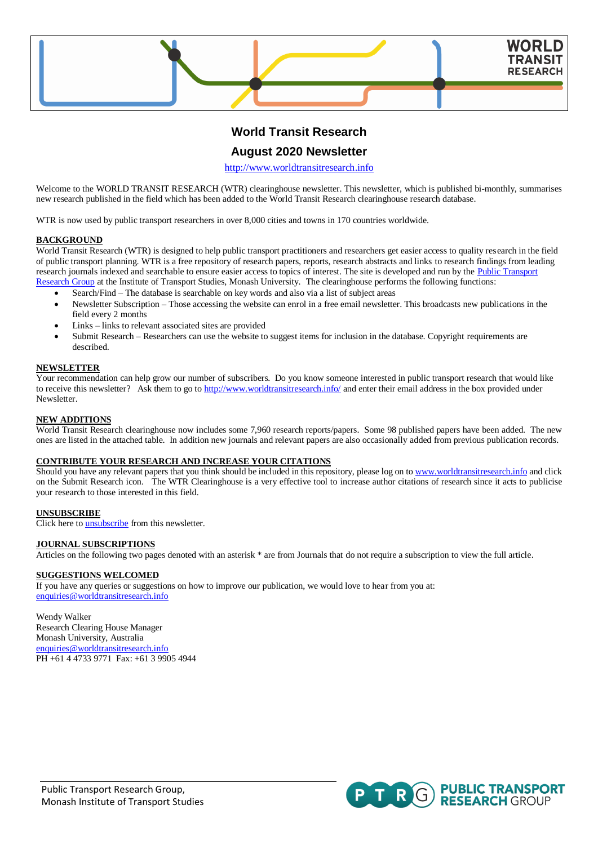

## **World Transit Research**

### **August 2020 Newsletter**

[http://www.worldtransitresearch.info](http://www.worldtransitresearch.info/)

Welcome to the WORLD TRANSIT RESEARCH (WTR) clearinghouse newsletter. This newsletter, which is published bi-monthly, summarises new research published in the field which has been added to the World Transit Research clearinghouse research database.

WTR is now used by public transport researchers in over 8,000 cities and towns in 170 countries worldwide.

#### **BACKGROUND**

World Transit Research (WTR) is designed to help public transport practitioners and researchers get easier access to quality research in the field of public transport planning. WTR is a free repository of research papers, reports, research abstracts and links to research findings from leading research journals indexed and searchable to ensure easier access to topics of interest. The site is developed and run by the Public Transport [Research Group](http://publictransportresearchgroup.info/) at the Institute of Transport Studies, Monash University. The clearinghouse performs the following functions:

- Search/Find The database is searchable on key words and also via a list of subject areas
- Newsletter Subscription Those accessing the website can enrol in a free email newsletter. This broadcasts new publications in the field every 2 months
- Links links to relevant associated sites are provided
- Submit Research Researchers can use the website to suggest items for inclusion in the database. Copyright requirements are described.

#### **NEWSLETTER**

Your recommendation can help grow our number of subscribers. Do you know someone interested in public transport research that would like to receive this newsletter? Ask them to go t[o http://www.worldtransitresearch.info/](http://www.worldtransitresearch.info/) and enter their email address in the box provided under Newsletter.

#### **NEW ADDITIONS**

World Transit Research clearinghouse now includes some 7,960 research reports/papers. Some 98 published papers have been added. The new ones are listed in the attached table. In addition new journals and relevant papers are also occasionally added from previous publication records.

#### **CONTRIBUTE YOUR RESEARCH AND INCREASE YOUR CITATIONS**

Should you have any relevant papers that you think should be included in this repository, please log on t[o www.worldtransitresearch.info](http://www.worldtransitresearch.info/) and click on the Submit Research icon. The WTR Clearinghouse is a very effective tool to increase author citations of research since it acts to publicise your research to those interested in this field.

#### **UNSUBSCRIBE**

Click here t[o unsubscribe](http://www.worldtransitresearch.info/) from this newsletter.

#### **JOURNAL SUBSCRIPTIONS**

Articles on the following two pages denoted with an asterisk \* are from Journals that do not require a subscription to view the full article.

#### **SUGGESTIONS WELCOMED**

If you have any queries or suggestions on how to improve our publication, we would love to hear from you at: [enquiries@worldtransitresearch.info](mailto:enquiries@worldtransitresearch.info)

Wendy Walker Research Clearing House Manager Monash University, Australia [enquiries@worldtransitresearch.info](mailto:enquiries@worldtransitresearch.info) PH +61 4 4733 9771 Fax: +61 3 9905 4944

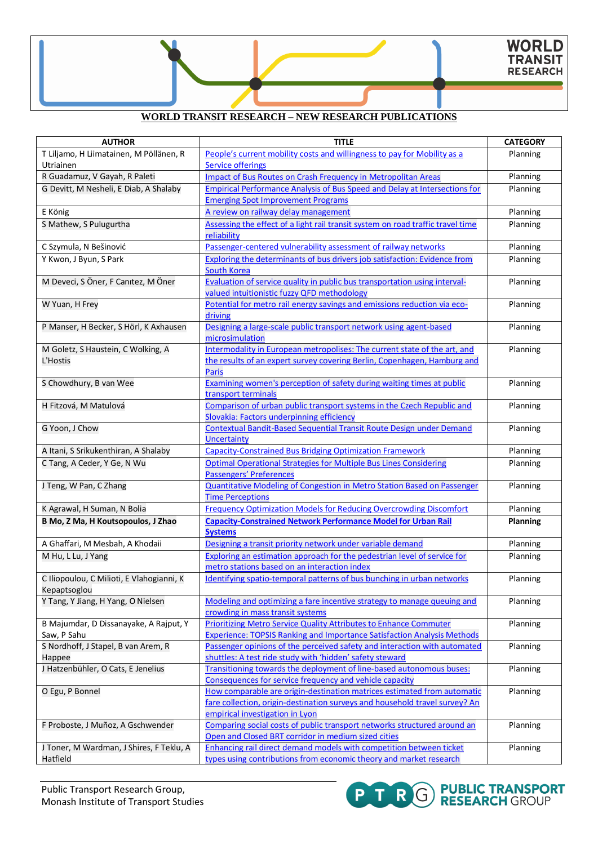## **WORLD TRANSIT RESEARCH – NEW RESEARCH PUBLICATIONS**

| <b>AUTHOR</b>                                        | <b>TITLE</b>                                                                                                                          | <b>CATEGORY</b> |
|------------------------------------------------------|---------------------------------------------------------------------------------------------------------------------------------------|-----------------|
| T Liljamo, H Liimatainen, M Pöllänen, R<br>Utriainen | People's current mobility costs and willingness to pay for Mobility as a<br><b>Service offerings</b>                                  | Planning        |
| R Guadamuz, V Gayah, R Paleti                        | <b>Impact of Bus Routes on Crash Frequency in Metropolitan Areas</b>                                                                  | Planning        |
| G Devitt, M Nesheli, E Diab, A Shalaby               | Empirical Performance Analysis of Bus Speed and Delay at Intersections for                                                            | Planning        |
|                                                      | <b>Emerging Spot Improvement Programs</b>                                                                                             |                 |
| E König                                              | A review on railway delay management                                                                                                  | Planning        |
| S Mathew, S Pulugurtha                               | Assessing the effect of a light rail transit system on road traffic travel time<br>reliability                                        | Planning        |
| C Szymula, N Bešinović                               | Passenger-centered vulnerability assessment of railway networks                                                                       | Planning        |
| Y Kwon, J Byun, S Park                               | Exploring the determinants of bus drivers job satisfaction: Evidence from                                                             | Planning        |
|                                                      | <b>South Korea</b>                                                                                                                    |                 |
| M Deveci, S Öner, F Canıtez, M Öner                  | Evaluation of service quality in public bus transportation using interval-                                                            | Planning        |
|                                                      | valued intuitionistic fuzzy QFD methodology                                                                                           |                 |
| W Yuan, H Frey                                       | Potential for metro rail energy savings and emissions reduction via eco-                                                              | Planning        |
|                                                      | driving                                                                                                                               |                 |
| P Manser, H Becker, S Hörl, K Axhausen               | Designing a large-scale public transport network using agent-based<br>microsimulation                                                 | Planning        |
| M Goletz, S Haustein, C Wolking, A                   | Intermodality in European metropolises: The current state of the art, and                                                             | Planning        |
| L'Hostis                                             | the results of an expert survey covering Berlin, Copenhagen, Hamburg and<br><b>Paris</b>                                              |                 |
| S Chowdhury, B van Wee                               | Examining women's perception of safety during waiting times at public                                                                 | Planning        |
|                                                      | transport terminals                                                                                                                   |                 |
| H Fitzová, M Matulová                                | Comparison of urban public transport systems in the Czech Republic and                                                                | Planning        |
|                                                      | Slovakia: Factors underpinning efficiency                                                                                             |                 |
| G Yoon, J Chow                                       | Contextual Bandit-Based Sequential Transit Route Design under Demand                                                                  | Planning        |
|                                                      | <b>Uncertainty</b>                                                                                                                    |                 |
| A Itani, S Srikukenthiran, A Shalaby                 | <b>Capacity-Constrained Bus Bridging Optimization Framework</b>                                                                       | Planning        |
| C Tang, A Ceder, Y Ge, N Wu                          | <b>Optimal Operational Strategies for Multiple Bus Lines Considering</b>                                                              | Planning        |
|                                                      | Passengers' Preferences                                                                                                               |                 |
| J Teng, W Pan, C Zhang                               | Quantitative Modeling of Congestion in Metro Station Based on Passenger                                                               | Planning        |
|                                                      | <b>Time Perceptions</b>                                                                                                               |                 |
| K Agrawal, H Suman, N Bolia                          | <b>Frequency Optimization Models for Reducing Overcrowding Discomfort</b>                                                             | Planning        |
| B Mo, Z Ma, H Koutsopoulos, J Zhao                   | <b>Capacity-Constrained Network Performance Model for Urban Rail</b>                                                                  | <b>Planning</b> |
|                                                      | <b>Systems</b>                                                                                                                        |                 |
| A Ghaffari, M Mesbah, A Khodaii                      | Designing a transit priority network under variable demand                                                                            | Planning        |
| M Hu, L Lu, J Yang                                   | Exploring an estimation approach for the pedestrian level of service for                                                              | Planning        |
|                                                      | metro stations based on an interaction index                                                                                          |                 |
| C Iliopoulou, C Milioti, E Vlahogianni, K            | Identifying spatio-temporal patterns of bus bunching in urban networks                                                                | Planning        |
| Kepaptsoglou                                         |                                                                                                                                       |                 |
| Y Tang, Y Jiang, H Yang, O Nielsen                   | Modeling and optimizing a fare incentive strategy to manage queuing and                                                               | Planning        |
|                                                      | crowding in mass transit systems                                                                                                      |                 |
| B Majumdar, D Dissanayake, A Rajput, Y               | <b>Prioritizing Metro Service Quality Attributes to Enhance Commuter</b>                                                              | Planning        |
| Saw, P Sahu                                          | <b>Experience: TOPSIS Ranking and Importance Satisfaction Analysis Methods</b>                                                        |                 |
| S Nordhoff, J Stapel, B van Arem, R<br>Happee        | Passenger opinions of the perceived safety and interaction with automated<br>shuttles: A test ride study with 'hidden' safety steward | Planning        |
| J Hatzenbühler, O Cats, E Jenelius                   | Transitioning towards the deployment of line-based autonomous buses:                                                                  | Planning        |
|                                                      | Consequences for service frequency and vehicle capacity                                                                               |                 |
| O Egu, P Bonnel                                      | How comparable are origin-destination matrices estimated from automatic                                                               | Planning        |
|                                                      | fare collection, origin-destination surveys and household travel survey? An                                                           |                 |
|                                                      | empirical investigation in Lyon                                                                                                       |                 |
| F Proboste, J Muñoz, A Gschwender                    | Comparing social costs of public transport networks structured around an                                                              | Planning        |
|                                                      | Open and Closed BRT corridor in medium sized cities                                                                                   |                 |
| J Toner, M Wardman, J Shires, F Teklu, A             | Enhancing rail direct demand models with competition between ticket                                                                   | Planning        |
| Hatfield                                             | types using contributions from economic theory and market research                                                                    |                 |

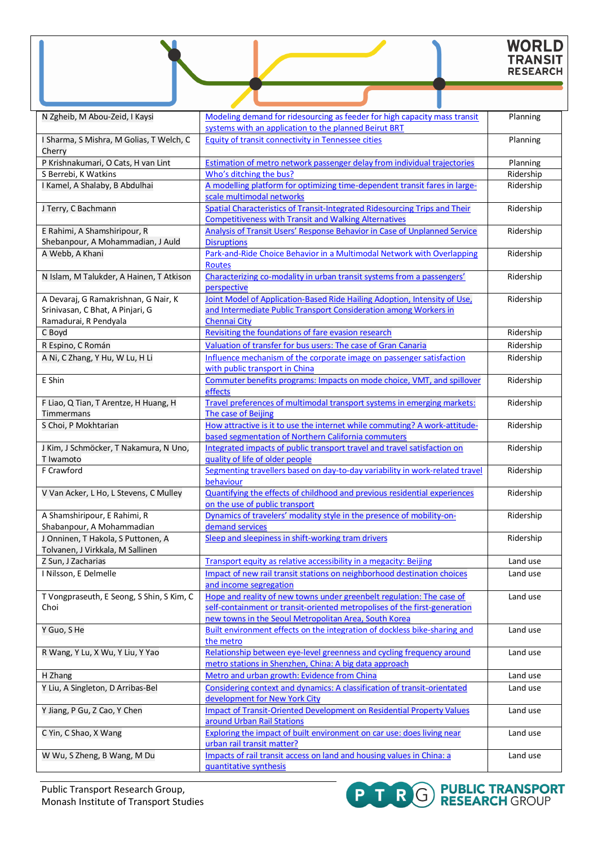| <b>WORLD</b>    |
|-----------------|
| <b>TRANSIT</b>  |
| <b>RESEARCH</b> |

| N Zgheib, M Abou-Zeid, I Kaysi                                                                    | Modeling demand for ridesourcing as feeder for high capacity mass transit                                                                                                                                   | Planning  |
|---------------------------------------------------------------------------------------------------|-------------------------------------------------------------------------------------------------------------------------------------------------------------------------------------------------------------|-----------|
|                                                                                                   | systems with an application to the planned Beirut BRT                                                                                                                                                       |           |
| I Sharma, S Mishra, M Golias, T Welch, C<br>Cherry                                                | <b>Equity of transit connectivity in Tennessee cities</b>                                                                                                                                                   | Planning  |
| P Krishnakumari, O Cats, H van Lint                                                               | <b>Estimation of metro network passenger delay from individual trajectories</b>                                                                                                                             | Planning  |
| S Berrebi, K Watkins                                                                              | Who's ditching the bus?                                                                                                                                                                                     | Ridership |
| I Kamel, A Shalaby, B Abdulhai                                                                    | A modelling platform for optimizing time-dependent transit fares in large-<br>scale multimodal networks                                                                                                     | Ridership |
| J Terry, C Bachmann                                                                               | Spatial Characteristics of Transit-Integrated Ridesourcing Trips and Their<br><b>Competitiveness with Transit and Walking Alternatives</b>                                                                  | Ridership |
| E Rahimi, A Shamshiripour, R                                                                      | Analysis of Transit Users' Response Behavior in Case of Unplanned Service                                                                                                                                   | Ridership |
| Shebanpour, A Mohammadian, J Auld                                                                 | <b>Disruptions</b>                                                                                                                                                                                          |           |
| A Webb, A Khani                                                                                   | Park-and-Ride Choice Behavior in a Multimodal Network with Overlapping<br><b>Routes</b>                                                                                                                     | Ridership |
| N Islam, M Talukder, A Hainen, T Atkison                                                          | Characterizing co-modality in urban transit systems from a passengers'<br>perspective                                                                                                                       | Ridership |
| A Devaraj, G Ramakrishnan, G Nair, K<br>Srinivasan, C Bhat, A Pinjari, G<br>Ramadurai, R Pendyala | Joint Model of Application-Based Ride Hailing Adoption, Intensity of Use,<br>and Intermediate Public Transport Consideration among Workers in<br><b>Chennai City</b>                                        | Ridership |
| C Boyd                                                                                            | Revisiting the foundations of fare evasion research                                                                                                                                                         | Ridership |
| R Espino, C Román                                                                                 | Valuation of transfer for bus users: The case of Gran Canaria                                                                                                                                               | Ridership |
| A Ni, C Zhang, Y Hu, W Lu, H Li                                                                   | Influence mechanism of the corporate image on passenger satisfaction<br>with public transport in China                                                                                                      | Ridership |
| E Shin                                                                                            | Commuter benefits programs: Impacts on mode choice, VMT, and spillover<br>effects                                                                                                                           | Ridership |
| F Liao, Q Tian, T Arentze, H Huang, H<br>Timmermans                                               | Travel preferences of multimodal transport systems in emerging markets:<br>The case of Beijing                                                                                                              | Ridership |
| S Choi, P Mokhtarian                                                                              | How attractive is it to use the internet while commuting? A work-attitude-<br>based segmentation of Northern California commuters                                                                           | Ridership |
| J Kim, J Schmöcker, T Nakamura, N Uno,<br>T Iwamoto                                               | Integrated impacts of public transport travel and travel satisfaction on<br>quality of life of older people                                                                                                 | Ridership |
| F Crawford                                                                                        | Segmenting travellers based on day-to-day variability in work-related travel<br>behaviour                                                                                                                   | Ridership |
| V Van Acker, L Ho, L Stevens, C Mulley                                                            | Quantifying the effects of childhood and previous residential experiences<br>on the use of public transport                                                                                                 | Ridership |
| A Shamshiripour, E Rahimi, R                                                                      | Dynamics of travelers' modality style in the presence of mobility-on-                                                                                                                                       | Ridership |
| Shabanpour, A Mohammadian                                                                         | demand services                                                                                                                                                                                             |           |
| J Onninen, T Hakola, S Puttonen, A<br>Tolvanen, J Virkkala, M Sallinen                            | Sleep and sleepiness in shift-working tram drivers                                                                                                                                                          | Ridership |
| Z Sun, J Zacharias                                                                                | Transport equity as relative accessibility in a megacity: Beijing                                                                                                                                           | Land use  |
| I Nilsson, E Delmelle                                                                             | Impact of new rail transit stations on neighborhood destination choices<br>and income segregation                                                                                                           | Land use  |
| T Vongpraseuth, E Seong, S Shin, S Kim, C<br>Choi                                                 | Hope and reality of new towns under greenbelt regulation: The case of<br>self-containment or transit-oriented metropolises of the first-generation<br>new towns in the Seoul Metropolitan Area, South Korea | Land use  |
| Y Guo, S He                                                                                       | Built environment effects on the integration of dockless bike-sharing and<br>the metro                                                                                                                      | Land use  |
| R Wang, Y Lu, X Wu, Y Liu, Y Yao                                                                  | Relationship between eye-level greenness and cycling frequency around<br>metro stations in Shenzhen, China: A big data approach                                                                             | Land use  |
| H Zhang                                                                                           | Metro and urban growth: Evidence from China                                                                                                                                                                 | Land use  |
| Y Liu, A Singleton, D Arribas-Bel                                                                 | Considering context and dynamics: A classification of transit-orientated<br>development for New York City                                                                                                   | Land use  |
| Y Jiang, P Gu, Z Cao, Y Chen                                                                      | <b>Impact of Transit-Oriented Development on Residential Property Values</b><br>around Urban Rail Stations                                                                                                  | Land use  |
| C Yin, C Shao, X Wang                                                                             | Exploring the impact of built environment on car use: does living near<br>urban rail transit matter?                                                                                                        | Land use  |
| W Wu, S Zheng, B Wang, M Du                                                                       | Impacts of rail transit access on land and housing values in China: a<br>quantitative synthesis                                                                                                             | Land use  |

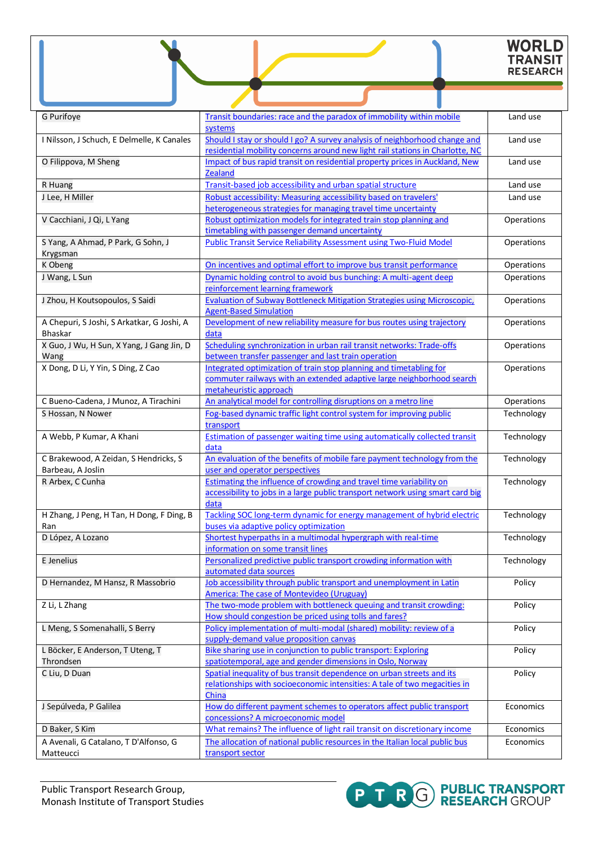# WORLD<br>TRANSIT<br>RESEARCH

| G Purifoye                                    | Transit boundaries: race and the paradox of immobility within mobile<br>systems                                                                             | Land use   |
|-----------------------------------------------|-------------------------------------------------------------------------------------------------------------------------------------------------------------|------------|
| I Nilsson, J Schuch, E Delmelle, K Canales    | Should I stay or should I go? A survey analysis of neighborhood change and<br>residential mobility concerns around new light rail stations in Charlotte, NC | Land use   |
| O Filippova, M Sheng                          | Impact of bus rapid transit on residential property prices in Auckland, New<br><b>Zealand</b>                                                               | Land use   |
| R Huang                                       | Transit-based job accessibility and urban spatial structure                                                                                                 | Land use   |
| J Lee, H Miller                               | Robust accessibility: Measuring accessibility based on travelers'                                                                                           | Land use   |
|                                               | heterogeneous strategies for managing travel time uncertainty                                                                                               |            |
| V Cacchiani, J Qi, L Yang                     | Robust optimization models for integrated train stop planning and<br>timetabling with passenger demand uncertainty                                          | Operations |
| S Yang, A Ahmad, P Park, G Sohn, J            | <b>Public Transit Service Reliability Assessment using Two-Fluid Model</b>                                                                                  | Operations |
| Krygsman                                      |                                                                                                                                                             |            |
| K Obeng                                       | On incentives and optimal effort to improve bus transit performance                                                                                         | Operations |
| J Wang, L Sun                                 | Dynamic holding control to avoid bus bunching: A multi-agent deep                                                                                           | Operations |
|                                               | reinforcement learning framework                                                                                                                            |            |
| J Zhou, H Koutsopoulos, S Saidi               | <b>Evaluation of Subway Bottleneck Mitigation Strategies using Microscopic,</b><br><b>Agent-Based Simulation</b>                                            | Operations |
| A Chepuri, S Joshi, S Arkatkar, G Joshi, A    | Development of new reliability measure for bus routes using trajectory                                                                                      | Operations |
| <b>Bhaskar</b>                                | data                                                                                                                                                        |            |
| X Guo, J Wu, H Sun, X Yang, J Gang Jin, D     | Scheduling synchronization in urban rail transit networks: Trade-offs                                                                                       | Operations |
| Wang                                          | between transfer passenger and last train operation                                                                                                         |            |
| X Dong, D Li, Y Yin, S Ding, Z Cao            | Integrated optimization of train stop planning and timetabling for                                                                                          | Operations |
|                                               | commuter railways with an extended adaptive large neighborhood search                                                                                       |            |
|                                               | metaheuristic approach                                                                                                                                      |            |
| C Bueno-Cadena, J Munoz, A Tirachini          | An analytical model for controlling disruptions on a metro line                                                                                             | Operations |
| S Hossan, N Nower                             | Fog-based dynamic traffic light control system for improving public<br>transport                                                                            | Technology |
| A Webb, P Kumar, A Khani                      | Estimation of passenger waiting time using automatically collected transit                                                                                  | Technology |
|                                               | data                                                                                                                                                        |            |
| C Brakewood, A Zeidan, S Hendricks, S         | An evaluation of the benefits of mobile fare payment technology from the<br>user and operator perspectives                                                  | Technology |
| Barbeau, A Joslin<br>R Arbex, C Cunha         | Estimating the influence of crowding and travel time variability on                                                                                         | Technology |
|                                               | accessibility to jobs in a large public transport network using smart card big                                                                              |            |
|                                               | data                                                                                                                                                        |            |
| H Zhang, J Peng, H Tan, H Dong, F Ding, B     | Tackling SOC long-term dynamic for energy management of hybrid electric                                                                                     | Technology |
| Ran                                           | buses via adaptive policy optimization                                                                                                                      |            |
| D López, A Lozano                             | Shortest hyperpaths in a multimodal hypergraph with real-time                                                                                               | Technology |
|                                               | information on some transit lines                                                                                                                           |            |
| E Jenelius                                    | Personalized predictive public transport crowding information with                                                                                          | Technology |
|                                               | automated data sources                                                                                                                                      |            |
| D Hernandez, M Hansz, R Massobrio             | Job accessibility through public transport and unemployment in Latin                                                                                        | Policy     |
|                                               | <b>America: The case of Montevideo (Uruguay)</b>                                                                                                            |            |
| Z Li, L Zhang                                 | The two-mode problem with bottleneck queuing and transit crowding:                                                                                          | Policy     |
|                                               | How should congestion be priced using tolls and fares?                                                                                                      |            |
| L Meng, S Somenahalli, S Berry                | Policy implementation of multi-modal (shared) mobility: review of a                                                                                         | Policy     |
|                                               | supply-demand value proposition canvas                                                                                                                      |            |
| L Böcker, E Anderson, T Uteng, T<br>Throndsen | Bike sharing use in conjunction to public transport: Exploring<br>spatiotemporal, age and gender dimensions in Oslo, Norway                                 | Policy     |
| C Liu, D Duan                                 | Spatial inequality of bus transit dependence on urban streets and its                                                                                       | Policy     |
|                                               | relationships with socioeconomic intensities: A tale of two megacities in                                                                                   |            |
|                                               | China                                                                                                                                                       |            |
| J Sepúlveda, P Galilea                        | How do different payment schemes to operators affect public transport                                                                                       | Economics  |
|                                               | concessions? A microeconomic model                                                                                                                          |            |
| D Baker, S Kim                                | What remains? The influence of light rail transit on discretionary income                                                                                   | Economics  |
| A Avenali, G Catalano, T D'Alfonso, G         | The allocation of national public resources in the Italian local public bus                                                                                 | Economics  |
| Matteucci                                     | transport sector                                                                                                                                            |            |